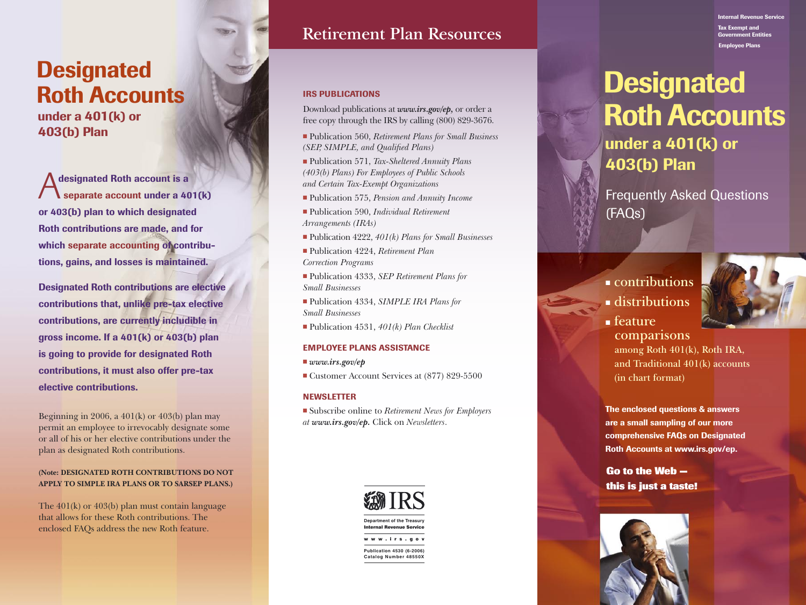# **Designated** Roth Accounts

 under a 401(k) or 403(b) Plan

designated Roth account is a Separate account under a 401(k) or 403(b) plan to which designated Roth contributions are made, and for which separate accounting of contribu tions, gains, and losses is maintained.

Designated Roth contributions are elective contributions that, unlike pre-tax elective contributions, are currently includible in gross income. If a 401(k) or 403(b) plan is going to provide for designated Roth contributions, it must also offer pre-tax elective contributions.

Beginning in 2006, a 401(k) or 403(b) plan may permit an employee to irrevocably designate some or all of his or her elective contributions under the plan as designated Roth contributions.

### **(Note: DESIGNATED ROTH CONTRIBUTIONS DO NOT APPLY TO SIMPLE IRA PLANS OR TO SARSEP PLANS.)**

The 401(k) or 403(b) plan must contain language that allows for these Roth contributions. The enclosed FAQs address the new Roth feature.

# **Retirement Plan Resources**

### IRS PUBLICATIONS

Download publications at *www.irs.gov/ep,* or order a free copy through the IRS by calling (800) 829-3676.

- Publication 560, *Retirement Plans for Small Business (SEP, SIMPLE, and Qualified Plans)*
- Publication 571, *Tax-Sheltered Annuity Plans (403(b) Plans) For Employees of Public Schools and Certain Tax-Exempt Organizations*
- Publication 575, *Pension and Annuity Income*
- Publication 590, *Individual Retirement Arrangements (IRAs)*
- Publication 4222, *401(k) Plans for Small Businesses*
- Publication 4224, *Retirement Plan Correction Programs*
- Publication 4333, *SEP Retirement Plans for Small Businesses*
- Publication 4334, *SIMPLE IRA Plans for Small Businesses*
- Publication 4531, *401(k) Plan Checklist*

### EMPLOYEE PLANS ASSISTANCE

- *www.irs.gov/ep*
- Customer Account Services at (877) 829-5500

### NEWSLETTER

■ Subscribe online to *Retirement News for Employers at www.irs.gov/ep.* Click on *Newsletters* .



#### Internal Revenue Service Tax Exempt and ent Entities Employee Plans

# **Designated** Roth Accounts under a 401(k) or 403(b) Plan

Frequently Asked Questions (FAQs)

## ■ **contributions**



- **distributions**
- **feature comparisons among Roth 401(k), Roth IRA, and Traditional 401(k) accounts (in chart format)**

The enclosed questions & answers are a small sampling of our more comprehensive FAQs on Designated Roth Accounts at www.irs.gov/ep.

**Go to the Web this is just a taste!**